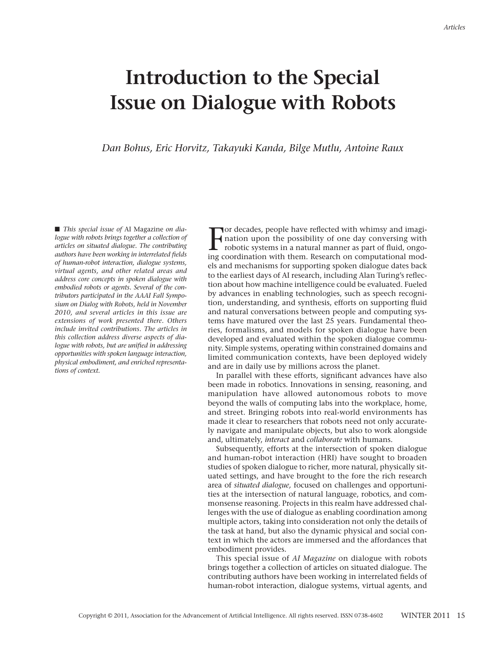## *Articles*

## **Introduction to the Special Issue on Dialogue with Robots**

*Dan Bohus, Eric Horvitz, Takayuki Kanda, Bilge Mutlu, Antoine Raux*

 *This special issue of* AI Magazine *on dialogue with robots brings together a collection of articles on situated dialogue. The contributing authors have been working in interrelated fields of human-robot interaction, dialogue systems, virtual agents, and other related areas and address core concepts in spoken dialogue with embodied robots or agents. Several of the contributors participated in the AAAI Fall Symposium on Dialog with Robots, held in November 2010, and several articles in this issue are extensions of work presented there. Others include invited contributions. The articles in this collection address diverse aspects of dialogue with robots, but are unified in addressing opportunities with spoken language interaction, physical embodiment, and enriched representations of context.* 

F or decades, people have reflected with whimsy and imagination upon the possibility of one day conversing with robotic systems in a natural manner as part of fluid, ongoing coordination with them. Research on computational models and mechanisms for supporting spoken dialogue dates back to the earliest days of AI research, including Alan Turing's reflection about how machine intelligence could be evaluated. Fueled by advances in enabling technologies, such as speech recognition, understanding, and synthesis, efforts on supporting fluid and natural conversations between people and computing systems have matured over the last 25 years. Fundamental theories, formalisms, and models for spoken dialogue have been developed and evaluated within the spoken dialogue community. Simple systems, operating within constrained domains and limited communication contexts, have been deployed widely and are in daily use by millions across the planet.

In parallel with these efforts, significant advances have also been made in robotics. Innovations in sensing, reasoning, and manipulation have allowed autonomous robots to move beyond the walls of computing labs into the workplace, home, and street. Bringing robots into real-world environments has made it clear to researchers that robots need not only accurately navigate and manipulate objects, but also to work alongside and, ultimately, *interact* and *collaborate* with humans.

Subsequently, efforts at the intersection of spoken dialogue and human-robot interaction (HRI) have sought to broaden studies of spoken dialogue to richer, more natural, physically situated settings, and have brought to the fore the rich research area of *situated dialogue,* focused on challenges and opportunities at the intersection of natural language, robotics, and commonsense reasoning. Projects in this realm have addressed challenges with the use of dialogue as enabling coordination among multiple actors, taking into consideration not only the details of the task at hand, but also the dynamic physical and social context in which the actors are immersed and the affordances that embodiment provides.

This special issue of *AI Magazine* on dialogue with robots brings together a collection of articles on situated dialogue. The contributing authors have been working in interrelated fields of human-robot interaction, dialogue systems, virtual agents, and